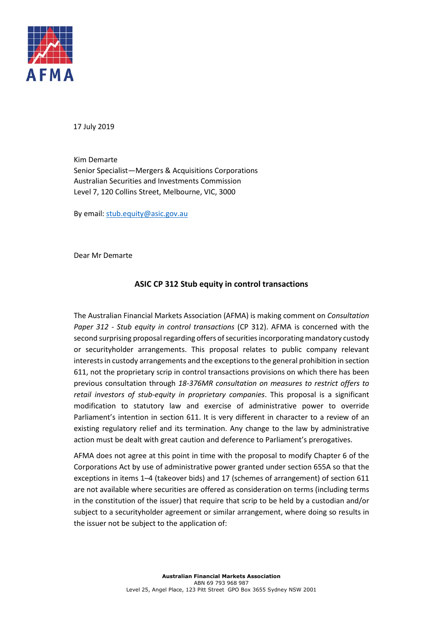

17 July 2019

Kim Demarte Senior Specialist—Mergers & Acquisitions Corporations Australian Securities and Investments Commission Level 7, 120 Collins Street, Melbourne, VIC, 3000

By email: stub.equity@asic.gov.au

Dear Mr Demarte

## **ASIC CP 312 Stub equity in control transactions**

The Australian Financial Markets Association (AFMA) is making comment on *Consultation Paper 312 - Stub equity in control transactions* (CP 312). AFMA is concerned with the second surprising proposal regarding offers of securities incorporating mandatory custody or securityholder arrangements. This proposal relates to public company relevant interests in custody arrangements and the exceptions to the general prohibition in section 611, not the proprietary scrip in control transactions provisions on which there has been previous consultation through *18-376MR consultation on measures to restrict offers to retail investors of stub-equity in proprietary companies*. This proposal is a significant modification to statutory law and exercise of administrative power to override Parliament's intention in section 611. It is very different in character to a review of an existing regulatory relief and its termination. Any change to the law by administrative action must be dealt with great caution and deference to Parliament's prerogatives.

AFMA does not agree at this point in time with the proposal to modify Chapter 6 of the Corporations Act by use of administrative power granted under section 655A so that the exceptions in items 1–4 (takeover bids) and 17 (schemes of arrangement) of section 611 are not available where securities are offered as consideration on terms (including terms in the constitution of the issuer) that require that scrip to be held by a custodian and/or subject to a securityholder agreement or similar arrangement, where doing so results in the issuer not be subject to the application of: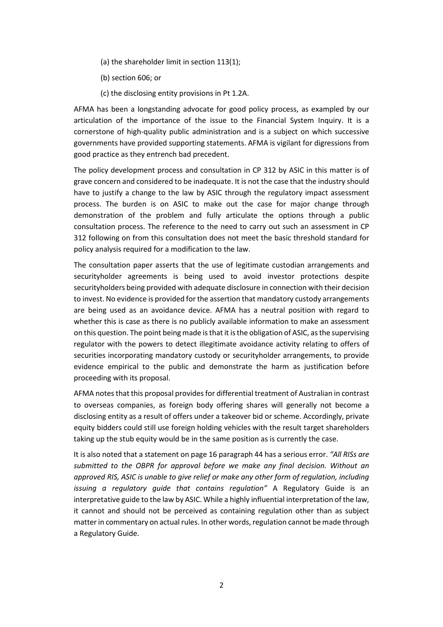- (a) the shareholder limit in section 113(1);
- (b) section 606; or
- (c) the disclosing entity provisions in Pt 1.2A.

AFMA has been a longstanding advocate for good policy process, as exampled by our articulation of the importance of the issue to the Financial System Inquiry. It is a cornerstone of high-quality public administration and is a subject on which successive governments have provided supporting statements. AFMA is vigilant for digressions from good practice as they entrench bad precedent.

The policy development process and consultation in CP 312 by ASIC in this matter is of grave concern and considered to be inadequate. It is not the case that the industry should have to justify a change to the law by ASIC through the regulatory impact assessment process. The burden is on ASIC to make out the case for major change through demonstration of the problem and fully articulate the options through a public consultation process. The reference to the need to carry out such an assessment in CP 312 following on from this consultation does not meet the basic threshold standard for policy analysis required for a modification to the law.

The consultation paper asserts that the use of legitimate custodian arrangements and securityholder agreements is being used to avoid investor protections despite securityholders being provided with adequate disclosure in connection with their decision to invest. No evidence is provided for the assertion that mandatory custody arrangements are being used as an avoidance device. AFMA has a neutral position with regard to whether this is case as there is no publicly available information to make an assessment on this question. The point being made is that it is the obligation of ASIC, as the supervising regulator with the powers to detect illegitimate avoidance activity relating to offers of securities incorporating mandatory custody or securityholder arrangements, to provide evidence empirical to the public and demonstrate the harm as justification before proceeding with its proposal.

AFMA notes that this proposal provides for differential treatment of Australian in contrast to overseas companies, as foreign body offering shares will generally not become a disclosing entity as a result of offers under a takeover bid or scheme. Accordingly, private equity bidders could still use foreign holding vehicles with the result target shareholders taking up the stub equity would be in the same position as is currently the case.

It is also noted that a statement on page 16 paragraph 44 has a serious error. *"All RISs are submitted to the OBPR for approval before we make any final decision. Without an approved RIS, ASIC is unable to give relief or make any other form of regulation, including issuing a regulatory guide that contains regulation"* A Regulatory Guide is an interpretative guide to the law by ASIC. While a highly influential interpretation of the law, it cannot and should not be perceived as containing regulation other than as subject matter in commentary on actual rules. In other words, regulation cannot be made through a Regulatory Guide.